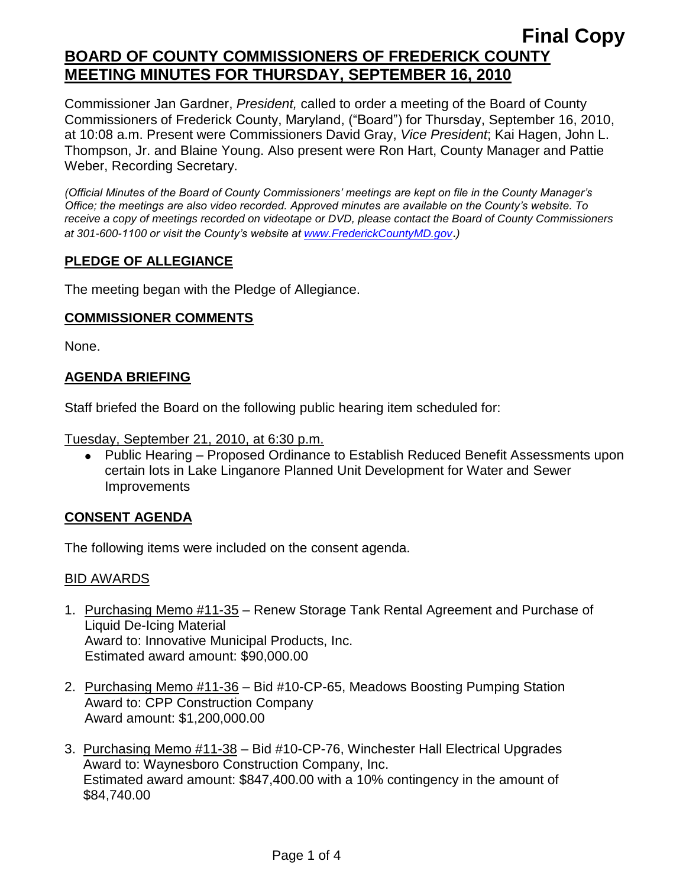Commissioner Jan Gardner, *President,* called to order a meeting of the Board of County Commissioners of Frederick County, Maryland, ("Board") for Thursday, September 16, 2010, at 10:08 a.m. Present were Commissioners David Gray, *Vice President*; Kai Hagen, John L. Thompson, Jr. and Blaine Young. Also present were Ron Hart, County Manager and Pattie Weber, Recording Secretary.

*(Official Minutes of the Board of County Commissioners' meetings are kept on file in the County Manager's Office; the meetings are also video recorded. Approved minutes are available on the County's website. To receive a copy of meetings recorded on videotape or DVD, please contact the Board of County Commissioners at 301-600-1100 or visit the County's website at [www.FrederickCountyMD.gov](http://www.frederickcountymd.gov/)*.*)*

### **PLEDGE OF ALLEGIANCE**

The meeting began with the Pledge of Allegiance.

### **COMMISSIONER COMMENTS**

None.

# **AGENDA BRIEFING**

Staff briefed the Board on the following public hearing item scheduled for:

Tuesday, September 21, 2010, at 6:30 p.m.

Public Hearing – Proposed Ordinance to Establish Reduced Benefit Assessments upon certain lots in Lake Linganore Planned Unit Development for Water and Sewer **Improvements** 

# **CONSENT AGENDA**

The following items were included on the consent agenda.

### BID AWARDS

- 1. Purchasing Memo #11-35 Renew Storage Tank Rental Agreement and Purchase of Liquid De-Icing Material Award to: Innovative Municipal Products, Inc. Estimated award amount: \$90,000.00
- 2. Purchasing Memo #11-36 Bid #10-CP-65, Meadows Boosting Pumping Station Award to: CPP Construction Company Award amount: \$1,200,000.00
- 3. Purchasing Memo #11-38 Bid #10-CP-76, Winchester Hall Electrical Upgrades Award to: Waynesboro Construction Company, Inc. Estimated award amount: \$847,400.00 with a 10% contingency in the amount of \$84,740.00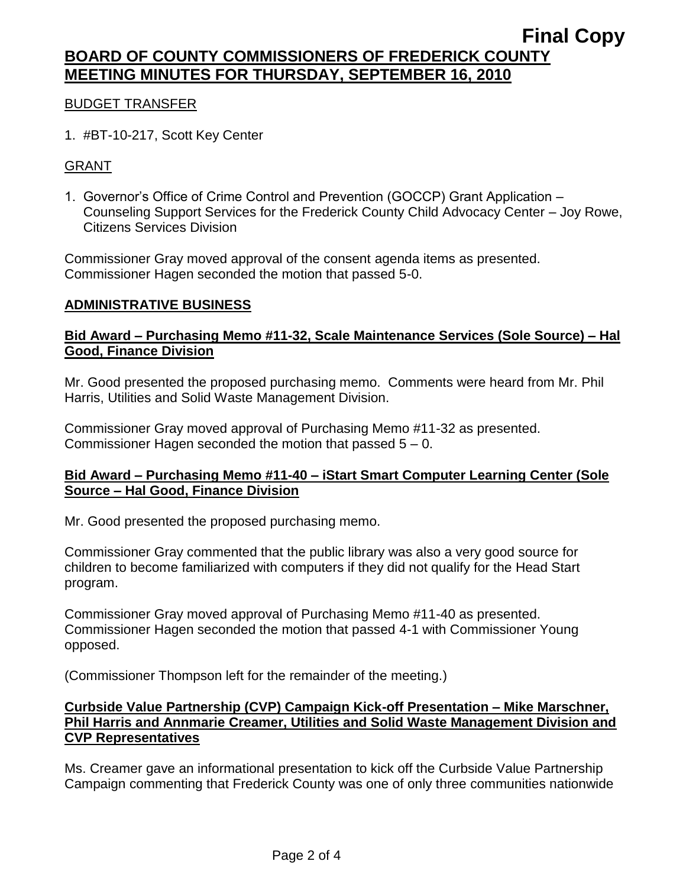### BUDGET TRANSFER

1. #BT-10-217, Scott Key Center

### **GRANT**

1. Governor's Office of Crime Control and Prevention (GOCCP) Grant Application – Counseling Support Services for the Frederick County Child Advocacy Center – Joy Rowe, Citizens Services Division

Commissioner Gray moved approval of the consent agenda items as presented. Commissioner Hagen seconded the motion that passed 5-0.

#### **ADMINISTRATIVE BUSINESS**

### **Bid Award – Purchasing Memo #11-32, Scale Maintenance Services (Sole Source) – Hal Good, Finance Division**

Mr. Good presented the proposed purchasing memo. Comments were heard from Mr. Phil Harris, Utilities and Solid Waste Management Division.

Commissioner Gray moved approval of Purchasing Memo #11-32 as presented. Commissioner Hagen seconded the motion that passed 5 – 0.

#### **Bid Award – Purchasing Memo #11-40 – iStart Smart Computer Learning Center (Sole Source – Hal Good, Finance Division**

Mr. Good presented the proposed purchasing memo.

Commissioner Gray commented that the public library was also a very good source for children to become familiarized with computers if they did not qualify for the Head Start program.

Commissioner Gray moved approval of Purchasing Memo #11-40 as presented. Commissioner Hagen seconded the motion that passed 4-1 with Commissioner Young opposed.

(Commissioner Thompson left for the remainder of the meeting.)

### **Curbside Value Partnership (CVP) Campaign Kick-off Presentation – Mike Marschner, Phil Harris and Annmarie Creamer, Utilities and Solid Waste Management Division and CVP Representatives**

Ms. Creamer gave an informational presentation to kick off the Curbside Value Partnership Campaign commenting that Frederick County was one of only three communities nationwide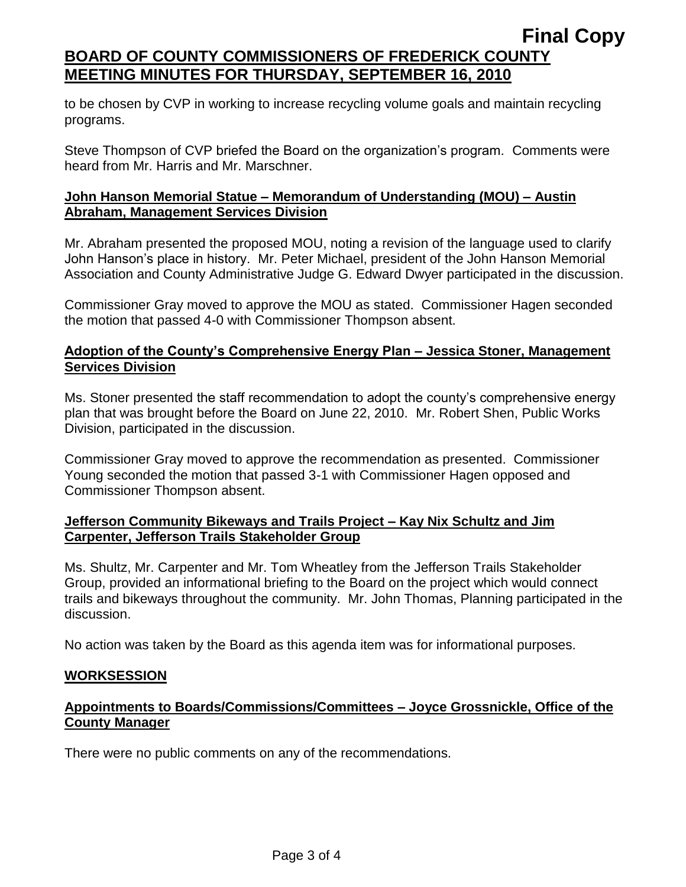to be chosen by CVP in working to increase recycling volume goals and maintain recycling programs.

Steve Thompson of CVP briefed the Board on the organization's program. Comments were heard from Mr. Harris and Mr. Marschner.

### **John Hanson Memorial Statue – Memorandum of Understanding (MOU) – Austin Abraham, Management Services Division**

Mr. Abraham presented the proposed MOU, noting a revision of the language used to clarify John Hanson's place in history. Mr. Peter Michael, president of the John Hanson Memorial Association and County Administrative Judge G. Edward Dwyer participated in the discussion.

Commissioner Gray moved to approve the MOU as stated. Commissioner Hagen seconded the motion that passed 4-0 with Commissioner Thompson absent.

## **Adoption of the County's Comprehensive Energy Plan – Jessica Stoner, Management Services Division**

Ms. Stoner presented the staff recommendation to adopt the county's comprehensive energy plan that was brought before the Board on June 22, 2010. Mr. Robert Shen, Public Works Division, participated in the discussion.

Commissioner Gray moved to approve the recommendation as presented. Commissioner Young seconded the motion that passed 3-1 with Commissioner Hagen opposed and Commissioner Thompson absent.

# **Jefferson Community Bikeways and Trails Project – Kay Nix Schultz and Jim Carpenter, Jefferson Trails Stakeholder Group**

Ms. Shultz, Mr. Carpenter and Mr. Tom Wheatley from the Jefferson Trails Stakeholder Group, provided an informational briefing to the Board on the project which would connect trails and bikeways throughout the community. Mr. John Thomas, Planning participated in the discussion.

No action was taken by the Board as this agenda item was for informational purposes.

### **WORKSESSION**

# **Appointments to Boards/Commissions/Committees – Joyce Grossnickle, Office of the County Manager**

There were no public comments on any of the recommendations.